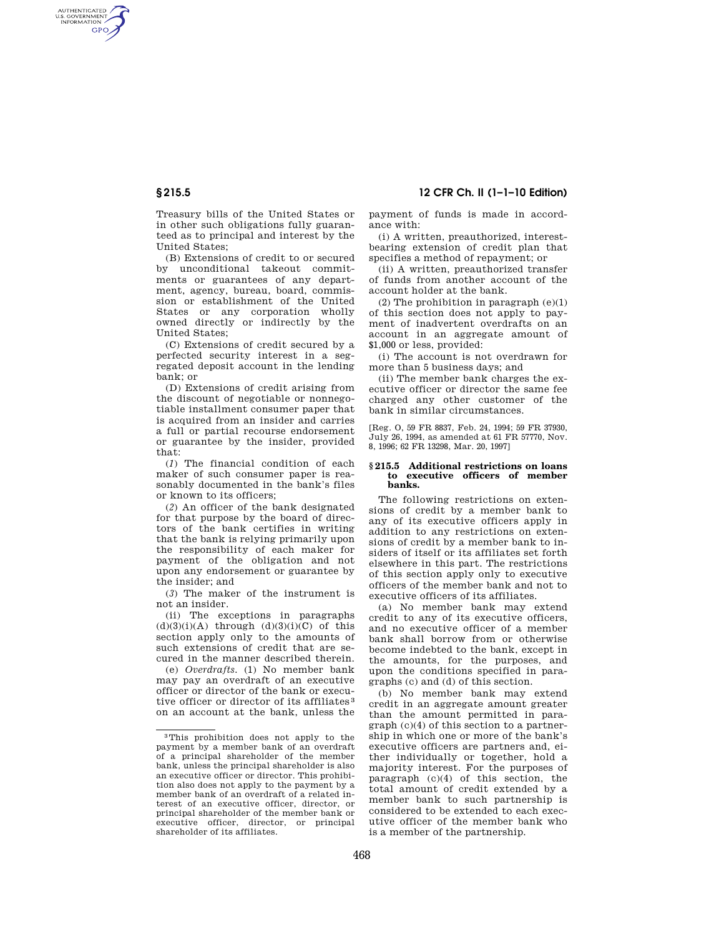# **§ 215.5 12 CFR Ch. II (1–1–10 Edition)**

AUTHENTICATED<br>U.S. GOVERNMENT<br>INFORMATION **GPO** 

> Treasury bills of the United States or in other such obligations fully guaranteed as to principal and interest by the United States;

> (B) Extensions of credit to or secured by unconditional takeout commitments or guarantees of any department, agency, bureau, board, commission or establishment of the United States or any corporation wholly owned directly or indirectly by the United States;

> (C) Extensions of credit secured by a perfected security interest in a segregated deposit account in the lending bank; or

> (D) Extensions of credit arising from the discount of negotiable or nonnegotiable installment consumer paper that is acquired from an insider and carries a full or partial recourse endorsement or guarantee by the insider, provided that:

> (*1*) The financial condition of each maker of such consumer paper is reasonably documented in the bank's files or known to its officers;

> (*2*) An officer of the bank designated for that purpose by the board of directors of the bank certifies in writing that the bank is relying primarily upon the responsibility of each maker for payment of the obligation and not upon any endorsement or guarantee by the insider; and

> (*3*) The maker of the instrument is not an insider.

> (ii) The exceptions in paragraphs  $(d)(3)(i)(A)$  through  $(d)(3)(i)(C)$  of this section apply only to the amounts of such extensions of credit that are secured in the manner described therein.

> (e) *Overdrafts.* (1) No member bank may pay an overdraft of an executive officer or director of the bank or executive officer or director of its affiliates 3 on an account at the bank, unless the

payment of funds is made in accordance with:

(i) A written, preauthorized, interestbearing extension of credit plan that specifies a method of repayment; or

(ii) A written, preauthorized transfer of funds from another account of the account holder at the bank.

(2) The prohibition in paragraph  $(e)(1)$ of this section does not apply to payment of inadvertent overdrafts on an account in an aggregate amount of \$1,000 or less, provided:

(i) The account is not overdrawn for more than 5 business days; and

(ii) The member bank charges the executive officer or director the same fee charged any other customer of the bank in similar circumstances.

[Reg. O, 59 FR 8837, Feb. 24, 1994; 59 FR 37930, July 26, 1994, as amended at 61 FR 57770, Nov. 8, 1996; 62 FR 13298, Mar. 20, 1997]

#### **§ 215.5 Additional restrictions on loans to executive officers of member banks.**

The following restrictions on extensions of credit by a member bank to any of its executive officers apply in addition to any restrictions on extensions of credit by a member bank to insiders of itself or its affiliates set forth elsewhere in this part. The restrictions of this section apply only to executive officers of the member bank and not to executive officers of its affiliates.

(a) No member bank may extend credit to any of its executive officers, and no executive officer of a member bank shall borrow from or otherwise become indebted to the bank, except in the amounts, for the purposes, and upon the conditions specified in paragraphs (c) and (d) of this section.

(b) No member bank may extend credit in an aggregate amount greater than the amount permitted in paragraph (c)(4) of this section to a partnership in which one or more of the bank's executive officers are partners and, either individually or together, hold a majority interest. For the purposes of paragraph (c)(4) of this section, the total amount of credit extended by a member bank to such partnership is considered to be extended to each executive officer of the member bank who is a member of the partnership.

<sup>3</sup>This prohibition does not apply to the payment by a member bank of an overdraft of a principal shareholder of the member bank, unless the principal shareholder is also an executive officer or director. This prohibition also does not apply to the payment by a member bank of an overdraft of a related interest of an executive officer, director, or principal shareholder of the member bank or executive officer, director, or principal shareholder of its affiliates.